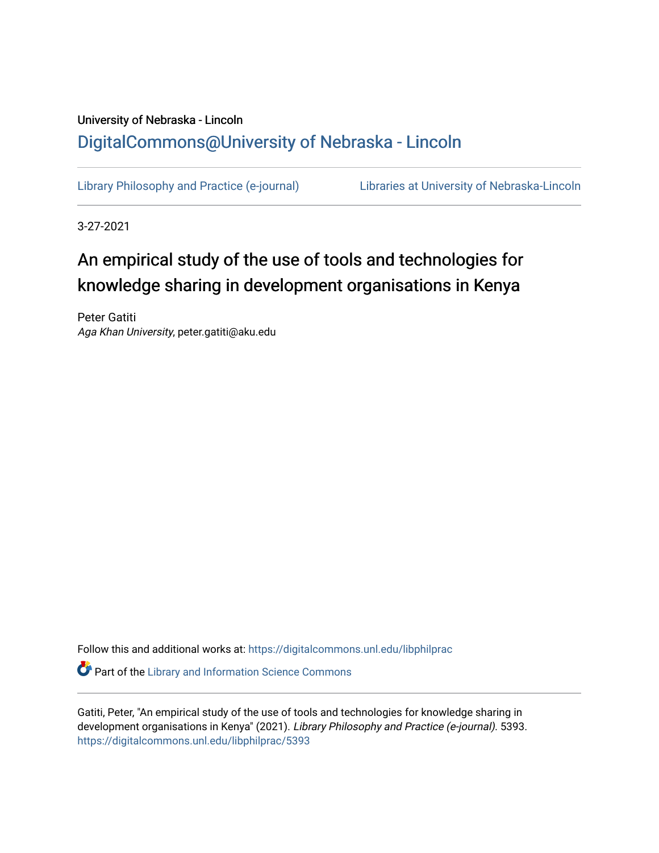# University of Nebraska - Lincoln [DigitalCommons@University of Nebraska - Lincoln](https://digitalcommons.unl.edu/)

[Library Philosophy and Practice \(e-journal\)](https://digitalcommons.unl.edu/libphilprac) [Libraries at University of Nebraska-Lincoln](https://digitalcommons.unl.edu/libraries) 

3-27-2021

# An empirical study of the use of tools and technologies for knowledge sharing in development organisations in Kenya

Peter Gatiti Aga Khan University, peter.gatiti@aku.edu

Follow this and additional works at: [https://digitalcommons.unl.edu/libphilprac](https://digitalcommons.unl.edu/libphilprac?utm_source=digitalcommons.unl.edu%2Flibphilprac%2F5393&utm_medium=PDF&utm_campaign=PDFCoverPages)  **Part of the Library and Information Science Commons** 

Gatiti, Peter, "An empirical study of the use of tools and technologies for knowledge sharing in development organisations in Kenya" (2021). Library Philosophy and Practice (e-journal). 5393. [https://digitalcommons.unl.edu/libphilprac/5393](https://digitalcommons.unl.edu/libphilprac/5393?utm_source=digitalcommons.unl.edu%2Flibphilprac%2F5393&utm_medium=PDF&utm_campaign=PDFCoverPages)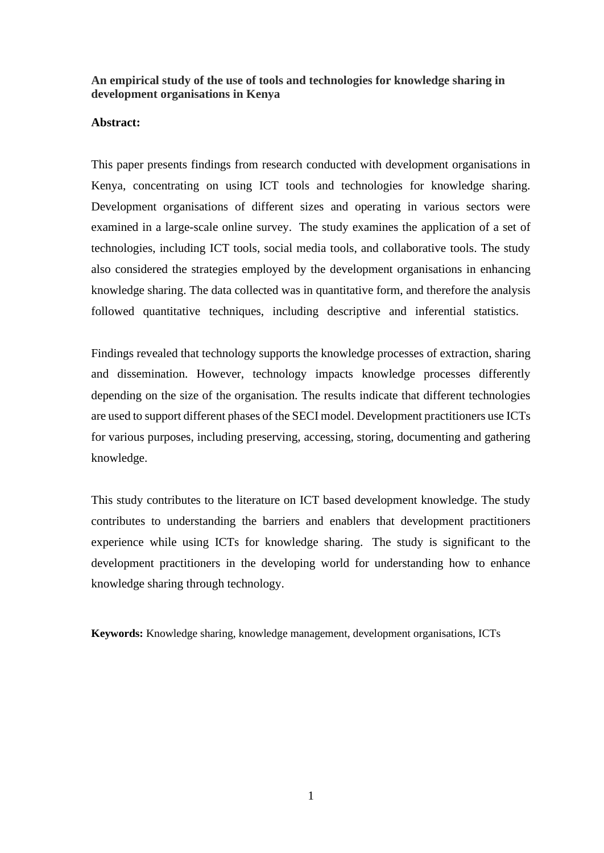# **An empirical study of the use of tools and technologies for knowledge sharing in development organisations in Kenya**

## **Abstract:**

This paper presents findings from research conducted with development organisations in Kenya, concentrating on using ICT tools and technologies for knowledge sharing. Development organisations of different sizes and operating in various sectors were examined in a large-scale online survey. The study examines the application of a set of technologies, including ICT tools, social media tools, and collaborative tools. The study also considered the strategies employed by the development organisations in enhancing knowledge sharing. The data collected was in quantitative form, and therefore the analysis followed quantitative techniques, including descriptive and inferential statistics.

Findings revealed that technology supports the knowledge processes of extraction, sharing and dissemination. However, technology impacts knowledge processes differently depending on the size of the organisation. The results indicate that different technologies are used to support different phases of the SECI model. Development practitioners use ICTs for various purposes, including preserving, accessing, storing, documenting and gathering knowledge.

This study contributes to the literature on ICT based development knowledge. The study contributes to understanding the barriers and enablers that development practitioners experience while using ICTs for knowledge sharing. The study is significant to the development practitioners in the developing world for understanding how to enhance knowledge sharing through technology.

**Keywords:** Knowledge sharing, knowledge management, development organisations, ICTs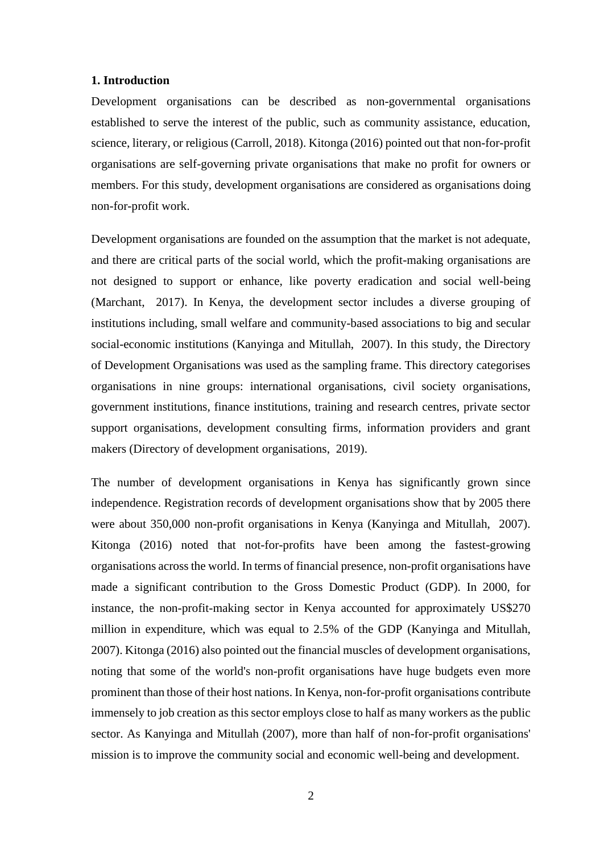#### **1. Introduction**

Development organisations can be described as non-governmental organisations established to serve the interest of the public, such as community assistance, education, science, literary, or religious (Carroll, 2018). Kitonga (2016) pointed out that non-for-profit organisations are self-governing private organisations that make no profit for owners or members. For this study, development organisations are considered as organisations doing non-for-profit work.

Development organisations are founded on the assumption that the market is not adequate, and there are critical parts of the social world, which the profit-making organisations are not designed to support or enhance, like poverty eradication and social well-being (Marchant, 2017). In Kenya, the development sector includes a diverse grouping of institutions including, small welfare and community-based associations to big and secular social-economic institutions (Kanyinga and Mitullah, 2007). In this study, the Directory of Development Organisations was used as the sampling frame. This directory categorises organisations in nine groups: international organisations, civil society organisations, government institutions, finance institutions, training and research centres, private sector support organisations, development consulting firms, information providers and grant makers (Directory of development organisations, 2019).

The number of development organisations in Kenya has significantly grown since independence. Registration records of development organisations show that by 2005 there were about 350,000 non-profit organisations in Kenya (Kanyinga and Mitullah, 2007). Kitonga (2016) noted that not-for-profits have been among the fastest-growing organisations across the world. In terms of financial presence, non-profit organisations have made a significant contribution to the Gross Domestic Product (GDP). In 2000, for instance, the non-profit-making sector in Kenya accounted for approximately US\$270 million in expenditure, which was equal to 2.5% of the GDP (Kanyinga and Mitullah, 2007). Kitonga (2016) also pointed out the financial muscles of development organisations, noting that some of the world's non-profit organisations have huge budgets even more prominent than those of their host nations. In Kenya, non-for-profit organisations contribute immensely to job creation as this sector employs close to half as many workers as the public sector. As Kanyinga and Mitullah (2007), more than half of non-for-profit organisations' mission is to improve the community social and economic well-being and development.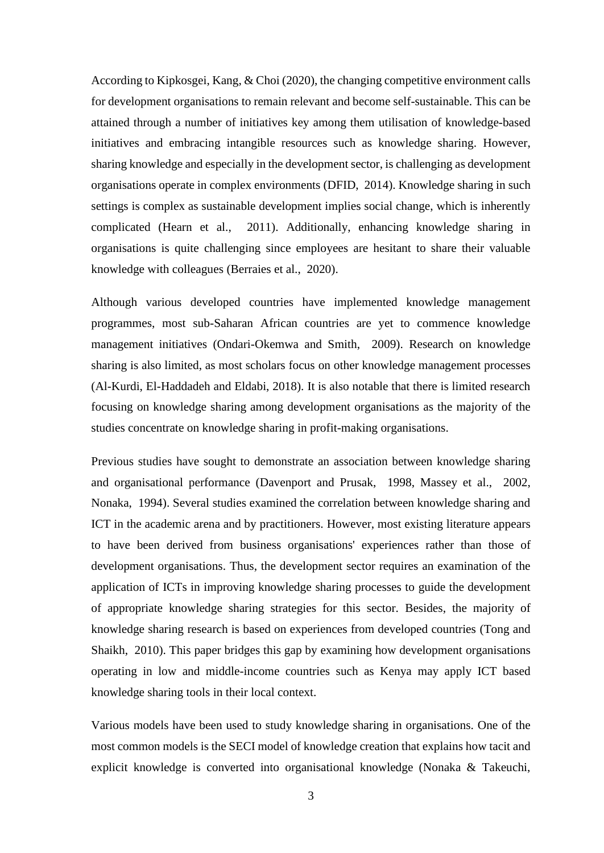According to Kipkosgei, Kang, & Choi (2020), the changing competitive environment calls for development organisations to remain relevant and become self-sustainable. This can be attained through a number of initiatives key among them utilisation of knowledge-based initiatives and embracing intangible resources such as knowledge sharing. However, sharing knowledge and especially in the development sector, is challenging as development organisations operate in complex environments (DFID, 2014). Knowledge sharing in such settings is complex as sustainable development implies social change, which is inherently complicated (Hearn et al., 2011). Additionally, enhancing knowledge sharing in organisations is quite challenging since employees are hesitant to share their valuable knowledge with colleagues (Berraies et al., 2020).

Although various developed countries have implemented knowledge management programmes, most sub-Saharan African countries are yet to commence knowledge management initiatives (Ondari-Okemwa and Smith, 2009). Research on knowledge sharing is also limited, as most scholars focus on other knowledge management processes (Al-Kurdi, El-Haddadeh and Eldabi, 2018). It is also notable that there is limited research focusing on knowledge sharing among development organisations as the majority of the studies concentrate on knowledge sharing in profit-making organisations.

Previous studies have sought to demonstrate an association between knowledge sharing and organisational performance (Davenport and Prusak, 1998, Massey et al., 2002, Nonaka, 1994). Several studies examined the correlation between knowledge sharing and ICT in the academic arena and by practitioners. However, most existing literature appears to have been derived from business organisations' experiences rather than those of development organisations. Thus, the development sector requires an examination of the application of ICTs in improving knowledge sharing processes to guide the development of appropriate knowledge sharing strategies for this sector. Besides, the majority of knowledge sharing research is based on experiences from developed countries (Tong and Shaikh, 2010). This paper bridges this gap by examining how development organisations operating in low and middle-income countries such as Kenya may apply ICT based knowledge sharing tools in their local context.

Various models have been used to study knowledge sharing in organisations. One of the most common models is the SECI model of knowledge creation that explains how tacit and explicit knowledge is converted into organisational knowledge (Nonaka & Takeuchi,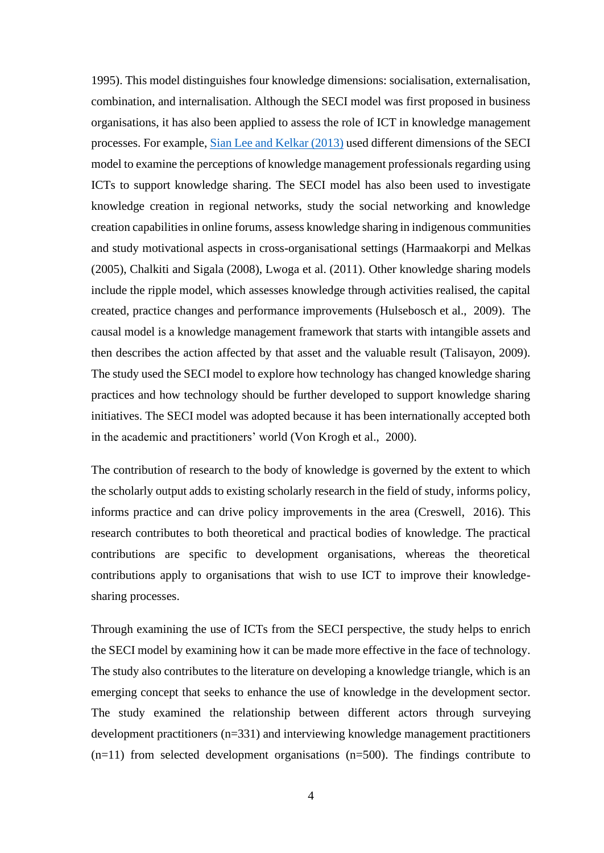1995). This model distinguishes four knowledge dimensions: socialisation, externalisation, combination, and internalisation. Although the SECI model was first proposed in business organisations, it has also been applied to assess the role of ICT in knowledge management processes. For example, Sian Lee and Kelkar (2013) used different dimensions of the SECI model to examine the perceptions of knowledge management professionals regarding using ICTs to support knowledge sharing. The SECI model has also been used to investigate knowledge creation in regional networks, study the social networking and knowledge creation capabilities in online forums, assess knowledge sharing in indigenous communities and study motivational aspects in cross-organisational settings (Harmaakorpi and Melkas (2005), Chalkiti and Sigala (2008), Lwoga et al. (2011). Other knowledge sharing models include the ripple model, which assesses knowledge through activities realised, the capital created, practice changes and performance improvements (Hulsebosch et al., 2009). The causal model is a knowledge management framework that starts with intangible assets and then describes the action affected by that asset and the valuable result (Talisayon, 2009). The study used the SECI model to explore how technology has changed knowledge sharing practices and how technology should be further developed to support knowledge sharing initiatives. The SECI model was adopted because it has been internationally accepted both in the academic and practitioners' world (Von Krogh et al., 2000).

The contribution of research to the body of knowledge is governed by the extent to which the scholarly output adds to existing scholarly research in the field of study, informs policy, informs practice and can drive policy improvements in the area (Creswell, 2016). This research contributes to both theoretical and practical bodies of knowledge. The practical contributions are specific to development organisations, whereas the theoretical contributions apply to organisations that wish to use ICT to improve their knowledgesharing processes.

Through examining the use of ICTs from the SECI perspective, the study helps to enrich the SECI model by examining how it can be made more effective in the face of technology. The study also contributes to the literature on developing a knowledge triangle, which is an emerging concept that seeks to enhance the use of knowledge in the development sector. The study examined the relationship between different actors through surveying development practitioners (n=331) and interviewing knowledge management practitioners  $(n=11)$  from selected development organisations  $(n=500)$ . The findings contribute to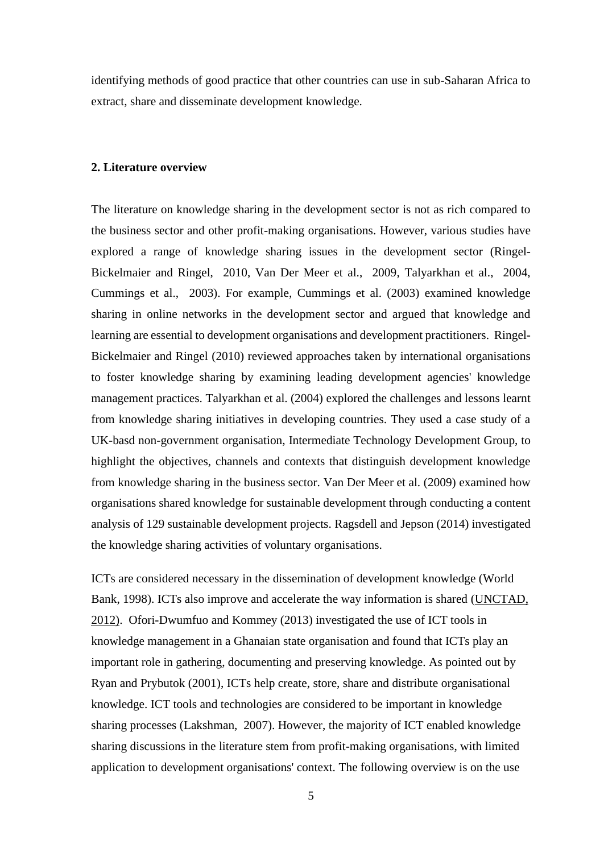identifying methods of good practice that other countries can use in sub-Saharan Africa to extract, share and disseminate development knowledge.

#### **2. Literature overview**

The literature on knowledge sharing in the development sector is not as rich compared to the business sector and other profit-making organisations. However, various studies have explored a range of knowledge sharing issues in the development sector (Ringel-Bickelmaier and Ringel, 2010, Van Der Meer et al., 2009, Talyarkhan et al., 2004, Cummings et al., 2003). For example, Cummings et al. (2003) examined knowledge sharing in online networks in the development sector and argued that knowledge and learning are essential to development organisations and development practitioners. Ringel-Bickelmaier and Ringel (2010) reviewed approaches taken by international organisations to foster knowledge sharing by examining leading development agencies' knowledge management practices. Talyarkhan et al. (2004) explored the challenges and lessons learnt from knowledge sharing initiatives in developing countries. They used a case study of a UK-basd non-government organisation, Intermediate Technology Development Group, to highlight the objectives, channels and contexts that distinguish development knowledge from knowledge sharing in the business sector. Van Der Meer et al. (2009) examined how organisations shared knowledge for sustainable development through conducting a content analysis of 129 sustainable development projects. Ragsdell and Jepson (2014) investigated the knowledge sharing activities of voluntary organisations.

ICTs are considered necessary in the dissemination of development knowledge (World Bank, 1998). ICTs also improve and accelerate the way information is shared (UNCTAD, 2012). Ofori-Dwumfuo and Kommey (2013) investigated the use of ICT tools in knowledge management in a Ghanaian state organisation and found that ICTs play an important role in gathering, documenting and preserving knowledge. As pointed out by Ryan and Prybutok (2001), ICTs help create, store, share and distribute organisational knowledge. ICT tools and technologies are considered to be important in knowledge sharing processes (Lakshman, 2007). However, the majority of ICT enabled knowledge sharing discussions in the literature stem from profit-making organisations, with limited application to development organisations' context. The following overview is on the use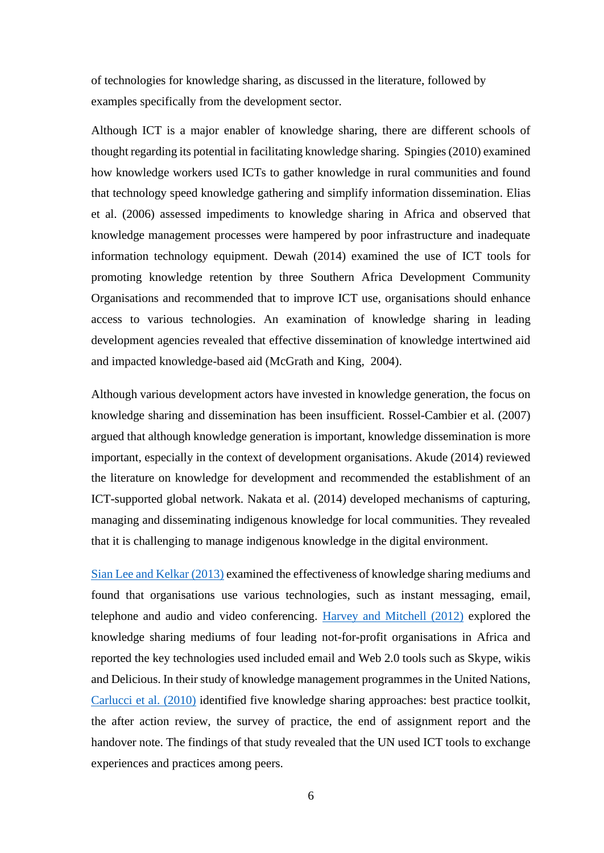of technologies for knowledge sharing, as discussed in the literature, followed by examples specifically from the development sector.

Although ICT is a major enabler of knowledge sharing, there are different schools of thought regarding its potential in facilitating knowledge sharing. Spingies (2010) examined how knowledge workers used ICTs to gather knowledge in rural communities and found that technology speed knowledge gathering and simplify information dissemination. Elias et al. (2006) assessed impediments to knowledge sharing in Africa and observed that knowledge management processes were hampered by poor infrastructure and inadequate information technology equipment. Dewah (2014) examined the use of ICT tools for promoting knowledge retention by three Southern Africa Development Community Organisations and recommended that to improve ICT use, organisations should enhance access to various technologies. An examination of knowledge sharing in leading development agencies revealed that effective dissemination of knowledge intertwined aid and impacted knowledge-based aid (McGrath and King, 2004).

Although various development actors have invested in knowledge generation, the focus on knowledge sharing and dissemination has been insufficient. Rossel-Cambier et al. (2007) argued that although knowledge generation is important, knowledge dissemination is more important, especially in the context of development organisations. Akude (2014) reviewed the literature on knowledge for development and recommended the establishment of an ICT-supported global network. Nakata et al. (2014) developed mechanisms of capturing, managing and disseminating indigenous knowledge for local communities. They revealed that it is challenging to manage indigenous knowledge in the digital environment.

Sian Lee and Kelkar (2013) examined the effectiveness of knowledge sharing mediums and found that organisations use various technologies, such as instant messaging, email, telephone and audio and video conferencing. Harvey and Mitchell (2012) explored the knowledge sharing mediums of four leading not-for-profit organisations in Africa and reported the key technologies used included email and Web 2.0 tools such as Skype, wikis and Delicious. In their study of knowledge management programmes in the United Nations, Carlucci et al. (2010) identified five knowledge sharing approaches: best practice toolkit, the after action review, the survey of practice, the end of assignment report and the handover note. The findings of that study revealed that the UN used ICT tools to exchange experiences and practices among peers.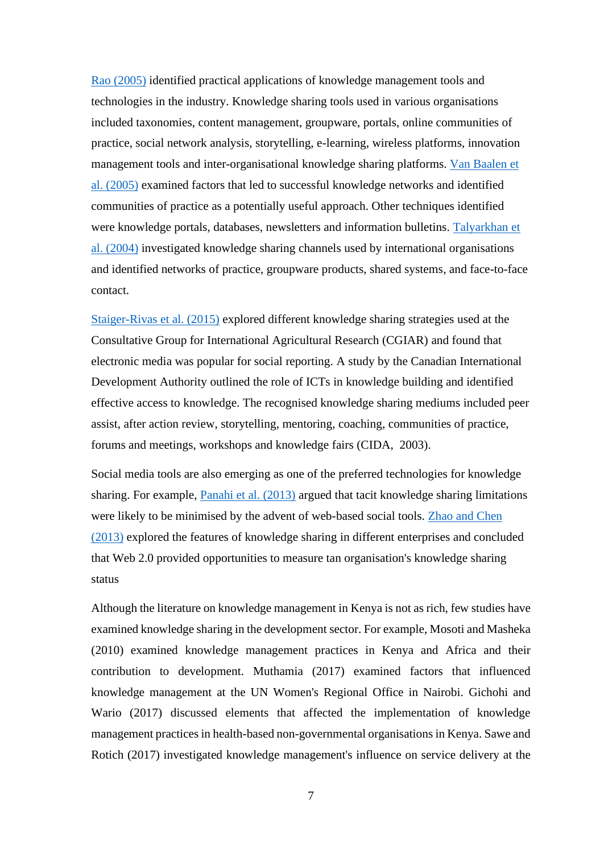Rao (2005) identified practical applications of knowledge management tools and technologies in the industry. Knowledge sharing tools used in various organisations included taxonomies, content management, groupware, portals, online communities of practice, social network analysis, storytelling, e-learning, wireless platforms, innovation management tools and inter-organisational knowledge sharing platforms. Van Baalen et al. (2005) examined factors that led to successful knowledge networks and identified communities of practice as a potentially useful approach. Other techniques identified were knowledge portals, databases, newsletters and information bulletins. Talyarkhan et al. (2004) investigated knowledge sharing channels used by international organisations and identified networks of practice, groupware products, shared systems, and face-to-face contact.

Staiger-Rivas et al. (2015) explored different knowledge sharing strategies used at the Consultative Group for International Agricultural Research (CGIAR) and found that electronic media was popular for social reporting. A study by the Canadian International Development Authority outlined the role of ICTs in knowledge building and identified effective access to knowledge. The recognised knowledge sharing mediums included peer assist, after action review, storytelling, mentoring, coaching, communities of practice, forums and meetings, workshops and knowledge fairs (CIDA, 2003).

Social media tools are also emerging as one of the preferred technologies for knowledge sharing. For example, Panahi et al. (2013) argued that tacit knowledge sharing limitations were likely to be minimised by the advent of web-based social tools. Zhao and Chen (2013) explored the features of knowledge sharing in different enterprises and concluded that Web 2.0 provided opportunities to measure tan organisation's knowledge sharing status

Although the literature on knowledge management in Kenya is not as rich, few studies have examined knowledge sharing in the development sector. For example, Mosoti and Masheka (2010) examined knowledge management practices in Kenya and Africa and their contribution to development. Muthamia (2017) examined factors that influenced knowledge management at the UN Women's Regional Office in Nairobi. Gichohi and Wario (2017) discussed elements that affected the implementation of knowledge management practices in health-based non-governmental organisations in Kenya. Sawe and Rotich (2017) investigated knowledge management's influence on service delivery at the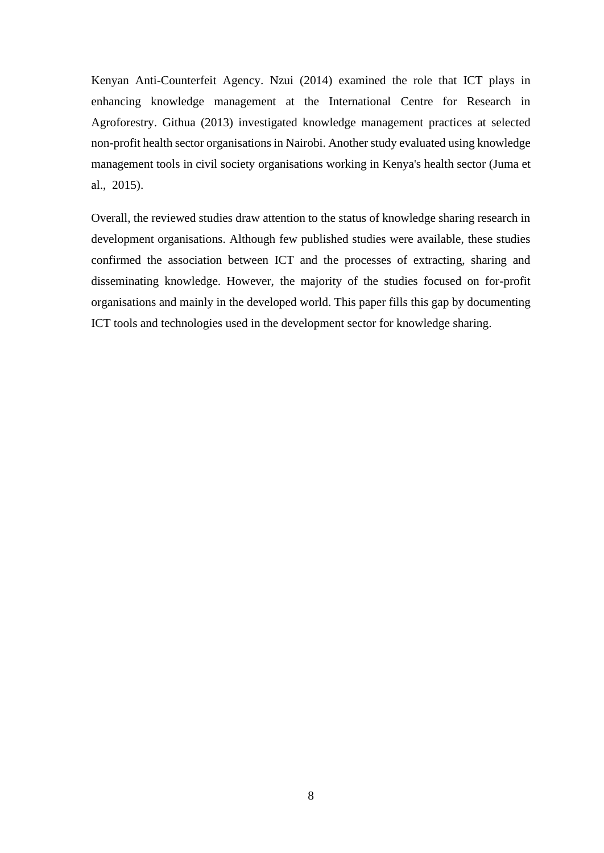Kenyan Anti-Counterfeit Agency. Nzui (2014) examined the role that ICT plays in enhancing knowledge management at the International Centre for Research in Agroforestry. Githua (2013) investigated knowledge management practices at selected non-profit health sector organisations in Nairobi. Another study evaluated using knowledge management tools in civil society organisations working in Kenya's health sector (Juma et al., 2015).

Overall, the reviewed studies draw attention to the status of knowledge sharing research in development organisations. Although few published studies were available, these studies confirmed the association between ICT and the processes of extracting, sharing and disseminating knowledge. However, the majority of the studies focused on for-profit organisations and mainly in the developed world. This paper fills this gap by documenting ICT tools and technologies used in the development sector for knowledge sharing.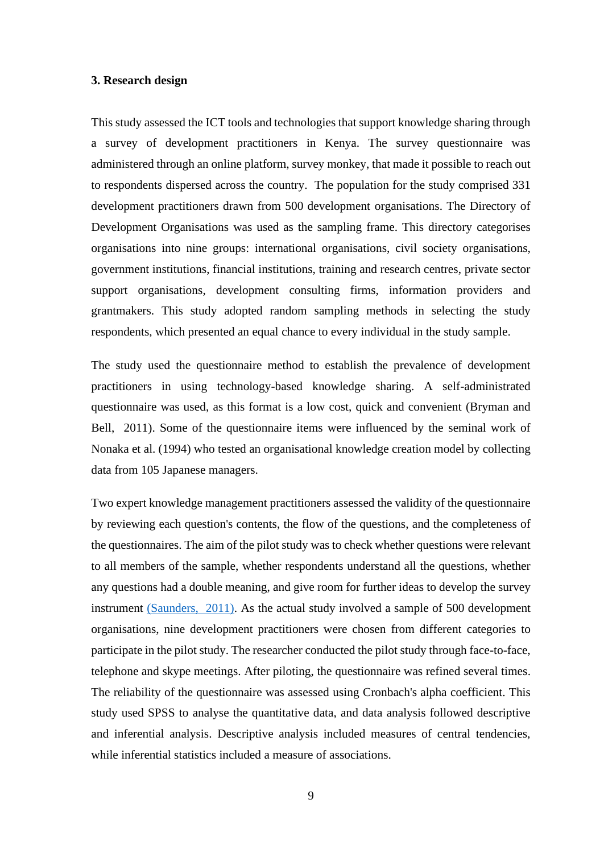#### **3. Research design**

This study assessed the ICT tools and technologies that support knowledge sharing through a survey of development practitioners in Kenya. The survey questionnaire was administered through an online platform, survey monkey, that made it possible to reach out to respondents dispersed across the country. The population for the study comprised 331 development practitioners drawn from 500 development organisations. The Directory of Development Organisations was used as the sampling frame. This directory categorises organisations into nine groups: international organisations, civil society organisations, government institutions, financial institutions, training and research centres, private sector support organisations, development consulting firms, information providers and grantmakers. This study adopted random sampling methods in selecting the study respondents, which presented an equal chance to every individual in the study sample.

The study used the questionnaire method to establish the prevalence of development practitioners in using technology-based knowledge sharing. A self-administrated questionnaire was used, as this format is a low cost, quick and convenient (Bryman and Bell, 2011). Some of the questionnaire items were influenced by the seminal work of Nonaka et al. (1994) who tested an organisational knowledge creation model by collecting data from 105 Japanese managers.

Two expert knowledge management practitioners assessed the validity of the questionnaire by reviewing each question's contents, the flow of the questions, and the completeness of the questionnaires. The aim of the pilot study was to check whether questions were relevant to all members of the sample, whether respondents understand all the questions, whether any questions had a double meaning, and give room for further ideas to develop the survey instrument (Saunders, 2011). As the actual study involved a sample of 500 development organisations, nine development practitioners were chosen from different categories to participate in the pilot study. The researcher conducted the pilot study through face-to-face, telephone and skype meetings. After piloting, the questionnaire was refined several times. The reliability of the questionnaire was assessed using Cronbach's alpha coefficient. This study used SPSS to analyse the quantitative data, and data analysis followed descriptive and inferential analysis. Descriptive analysis included measures of central tendencies, while inferential statistics included a measure of associations.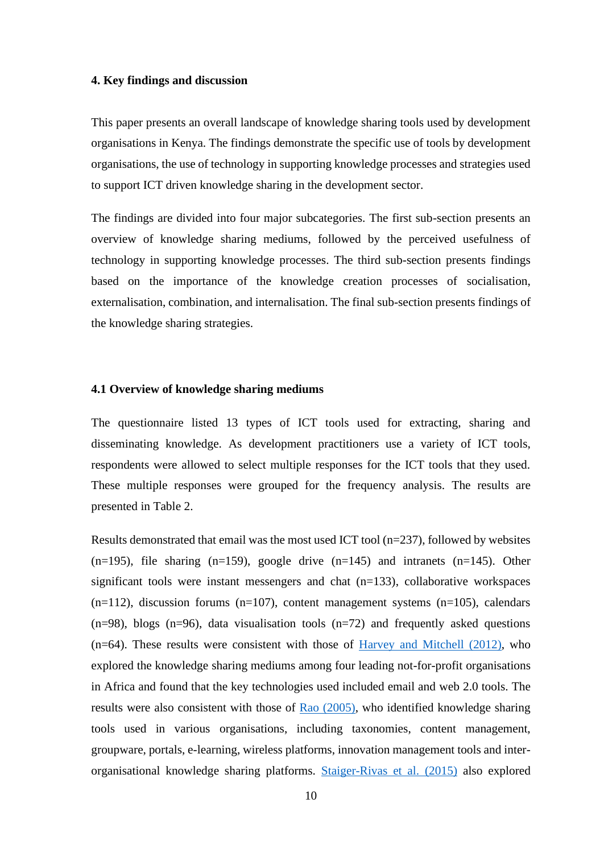#### **4. Key findings and discussion**

This paper presents an overall landscape of knowledge sharing tools used by development organisations in Kenya. The findings demonstrate the specific use of tools by development organisations, the use of technology in supporting knowledge processes and strategies used to support ICT driven knowledge sharing in the development sector.

The findings are divided into four major subcategories. The first sub-section presents an overview of knowledge sharing mediums, followed by the perceived usefulness of technology in supporting knowledge processes. The third sub-section presents findings based on the importance of the knowledge creation processes of socialisation, externalisation, combination, and internalisation. The final sub-section presents findings of the knowledge sharing strategies.

#### **4.1 Overview of knowledge sharing mediums**

The questionnaire listed 13 types of ICT tools used for extracting, sharing and disseminating knowledge. As development practitioners use a variety of ICT tools, respondents were allowed to select multiple responses for the ICT tools that they used. These multiple responses were grouped for the frequency analysis. The results are presented in Table 2.

Results demonstrated that email was the most used ICT tool  $(n=237)$ , followed by websites  $(n=195)$ , file sharing  $(n=159)$ , google drive  $(n=145)$  and intranets  $(n=145)$ . Other significant tools were instant messengers and chat (n=133), collaborative workspaces  $(n=112)$ , discussion forums  $(n=107)$ , content management systems  $(n=105)$ , calendars  $(n=98)$ , blogs  $(n=96)$ , data visualisation tools  $(n=72)$  and frequently asked questions (n=64). These results were consistent with those of Harvey and Mitchell (2012), who explored the knowledge sharing mediums among four leading not-for-profit organisations in Africa and found that the key technologies used included email and web 2.0 tools. The results were also consistent with those of Rao (2005), who identified knowledge sharing tools used in various organisations, including taxonomies, content management, groupware, portals, e-learning, wireless platforms, innovation management tools and interorganisational knowledge sharing platforms. Staiger-Rivas et al. (2015) also explored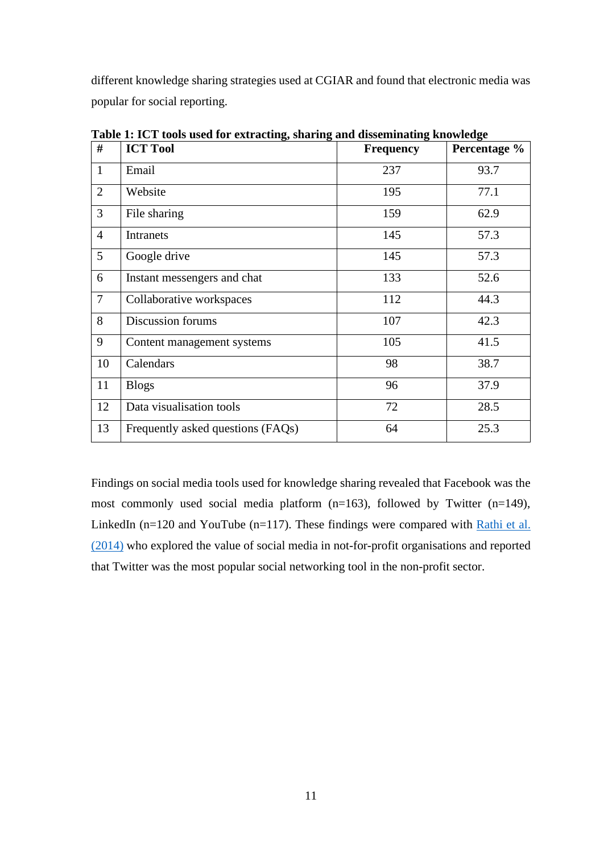different knowledge sharing strategies used at CGIAR and found that electronic media was popular for social reporting.

| #              | <b>ICT Tool</b>                   | <b>Frequency</b> | Percentage % |
|----------------|-----------------------------------|------------------|--------------|
| $\mathbf{1}$   | Email                             | 237              | 93.7         |
| $\overline{2}$ | Website                           | 195              | 77.1         |
| $\overline{3}$ | File sharing                      | 159              | 62.9         |
| $\overline{4}$ | Intranets                         | 145              | 57.3         |
| 5              | Google drive                      | 145              | 57.3         |
| 6              | Instant messengers and chat       | 133              | 52.6         |
| $\tau$         | Collaborative workspaces          | 112              | 44.3         |
| 8              | Discussion forums                 | 107              | 42.3         |
| 9              | Content management systems        | 105              | 41.5         |
| 10             | Calendars                         | 98               | 38.7         |
| 11             | <b>Blogs</b>                      | 96               | 37.9         |
| 12             | Data visualisation tools          | 72               | 28.5         |
| 13             | Frequently asked questions (FAQs) | 64               | 25.3         |

**Table 1: ICT tools used for extracting, sharing and disseminating knowledge**

Findings on social media tools used for knowledge sharing revealed that Facebook was the most commonly used social media platform (n=163), followed by Twitter (n=149), LinkedIn (n=120 and YouTube (n=117). These findings were compared with Rathi et al. (2014) who explored the value of social media in not-for-profit organisations and reported that Twitter was the most popular social networking tool in the non-profit sector.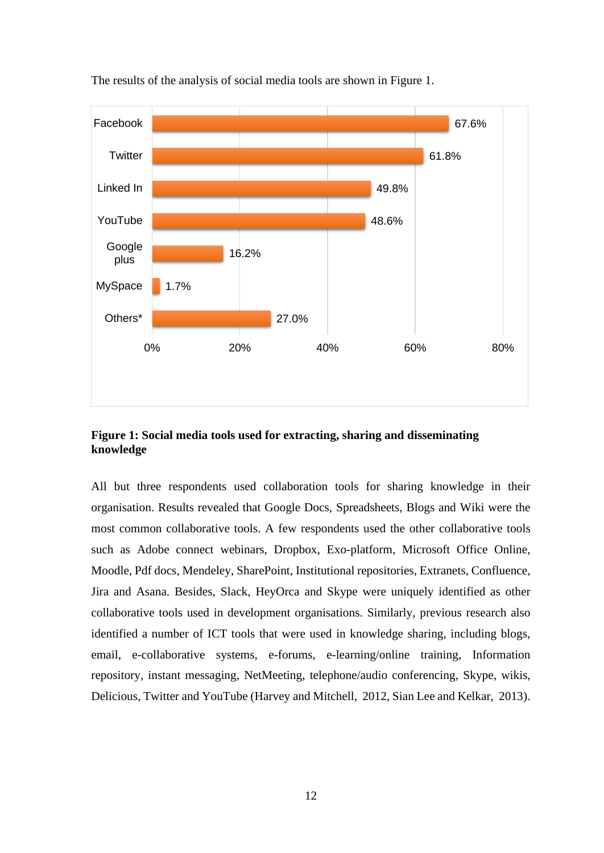

The results of the analysis of social media tools are shown in Figure 1.

**Figure 1: Social media tools used for extracting, sharing and disseminating knowledge**

All but three respondents used collaboration tools for sharing knowledge in their organisation. Results revealed that Google Docs, Spreadsheets, Blogs and Wiki were the most common collaborative tools. A few respondents used the other collaborative tools such as Adobe connect webinars, Dropbox, Exo-platform, Microsoft Office Online, Moodle, Pdf docs, Mendeley, SharePoint, Institutional repositories, Extranets, Confluence, Jira and Asana. Besides, Slack, HeyOrca and Skype were uniquely identified as other collaborative tools used in development organisations. Similarly, previous research also identified a number of ICT tools that were used in knowledge sharing, including blogs, email, e-collaborative systems, e-forums, e-learning/online training, Information repository, instant messaging, NetMeeting, telephone/audio conferencing, Skype, wikis, Delicious, Twitter and YouTube (Harvey and Mitchell, 2012, Sian Lee and Kelkar, 2013).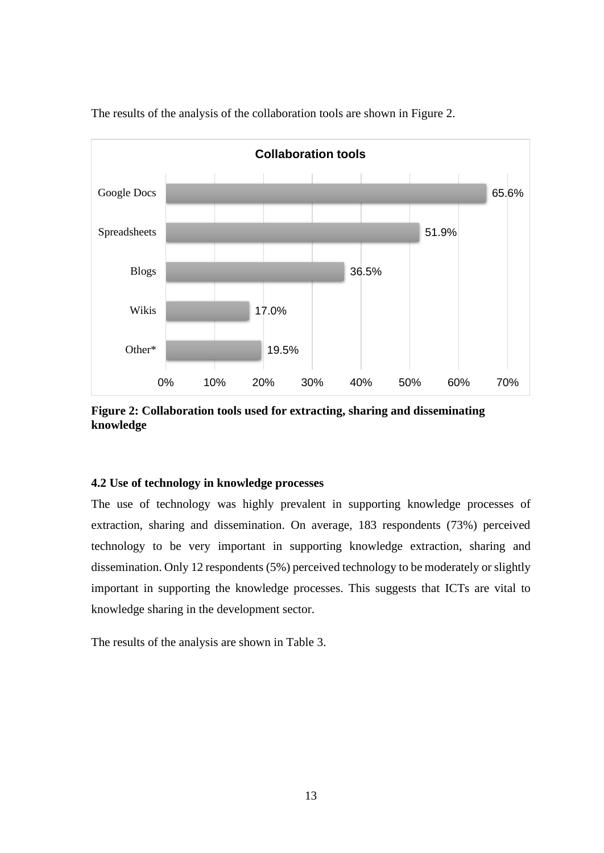

The results of the analysis of the collaboration tools are shown in Figure 2.

**Figure 2: Collaboration tools used for extracting, sharing and disseminating knowledge**

# **4.2 Use of technology in knowledge processes**

The use of technology was highly prevalent in supporting knowledge processes of extraction, sharing and dissemination. On average, 183 respondents (73%) perceived technology to be very important in supporting knowledge extraction, sharing and dissemination. Only 12 respondents (5%) perceived technology to be moderately or slightly important in supporting the knowledge processes. This suggests that ICTs are vital to knowledge sharing in the development sector.

The results of the analysis are shown in Table 3.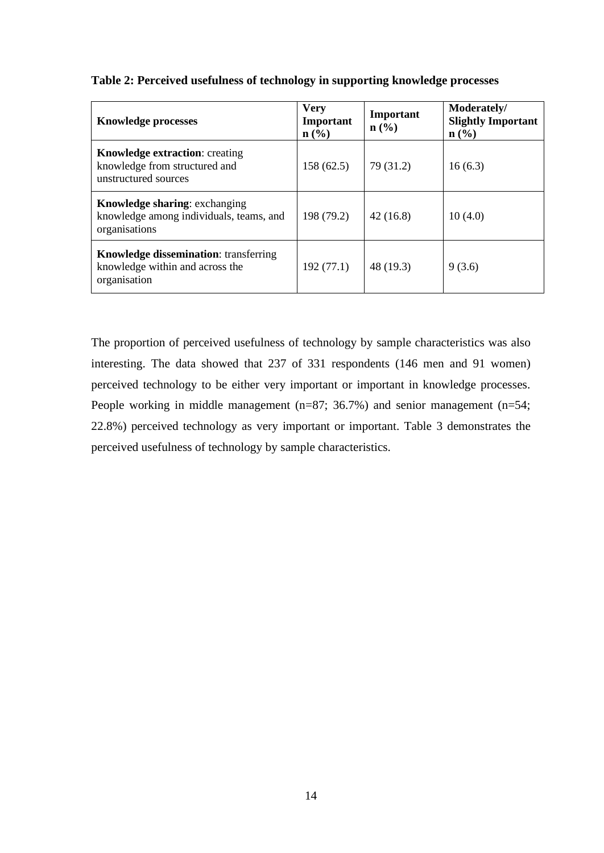| <b>Knowledge processes</b>                                                                       | <b>Very</b><br>Important<br>$n\left(\frac{0}{0}\right)$ | Important<br>$n\left(\frac{0}{0}\right)$ | Moderately/<br><b>Slightly Important</b><br>$\mathbf{n}(\%)$ |
|--------------------------------------------------------------------------------------------------|---------------------------------------------------------|------------------------------------------|--------------------------------------------------------------|
| <b>Knowledge extraction: creating</b><br>knowledge from structured and<br>unstructured sources   | 158(62.5)                                               | 79 (31.2)                                | 16(6.3)                                                      |
| <b>Knowledge sharing: exchanging</b><br>knowledge among individuals, teams, and<br>organisations | 198 (79.2)                                              | 42(16.8)                                 | 10(4.0)                                                      |
| <b>Knowledge dissemination:</b> transferring<br>knowledge within and across the<br>organisation  | 192(77.1)                                               | 48 (19.3)                                | 9(3.6)                                                       |

# **Table 2: Perceived usefulness of technology in supporting knowledge processes**

The proportion of perceived usefulness of technology by sample characteristics was also interesting. The data showed that 237 of 331 respondents (146 men and 91 women) perceived technology to be either very important or important in knowledge processes. People working in middle management (n=87; 36.7%) and senior management (n=54; 22.8%) perceived technology as very important or important. Table 3 demonstrates the perceived usefulness of technology by sample characteristics.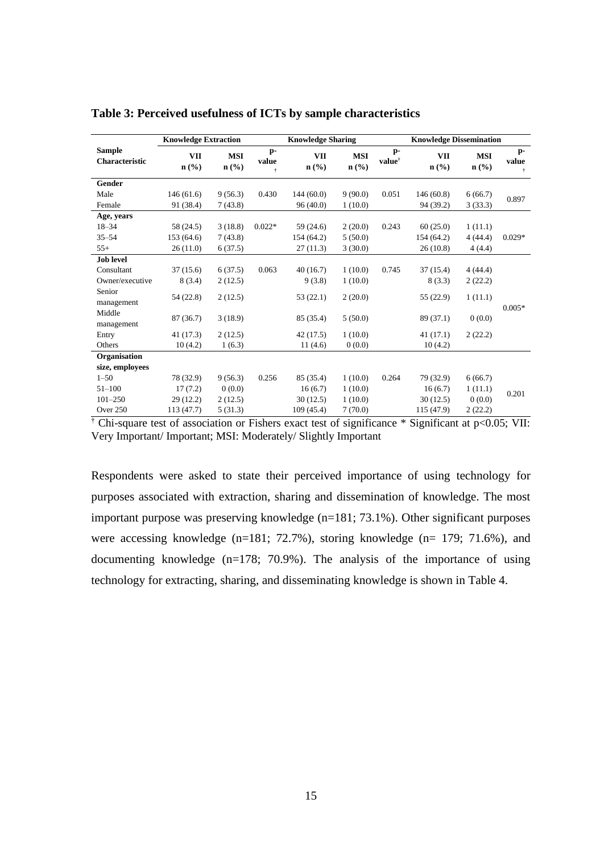|                                        | <b>Knowledge Extraction</b> |                                           | <b>Knowledge Sharing</b> |                                           |                                           | <b>Knowledge Dissemination</b> |                       |                       |                    |
|----------------------------------------|-----------------------------|-------------------------------------------|--------------------------|-------------------------------------------|-------------------------------------------|--------------------------------|-----------------------|-----------------------|--------------------|
| <b>Sample</b><br><b>Characteristic</b> | <b>VII</b><br>$n$ (%)       | <b>MSI</b><br>$n\left(\frac{0}{0}\right)$ | $p-$<br>value<br>÷       | <b>VII</b><br>$n\left(\frac{0}{0}\right)$ | <b>MSI</b><br>$n\left(\frac{0}{0}\right)$ | $p-$<br>value <sup>†</sup>     | <b>VII</b><br>$n$ (%) | <b>MSI</b><br>$n$ (%) | $p-$<br>value<br>Ť |
| Gender                                 |                             |                                           |                          |                                           |                                           |                                |                       |                       |                    |
| Male                                   | 146(61.6)                   | 9(56.3)                                   | 0.430                    | 144(60.0)                                 | 9(90.0)                                   | 0.051                          | 146(60.8)             | 6(66.7)               | 0.897              |
| Female                                 | 91 (38.4)                   | 7(43.8)                                   |                          | 96(40.0)                                  | 1(10.0)                                   |                                | 94 (39.2)             | 3(33.3)               |                    |
| Age, years                             |                             |                                           |                          |                                           |                                           |                                |                       |                       |                    |
| $18 - 34$                              | 58 (24.5)                   | 3(18.8)                                   | $0.022*$                 | 59 (24.6)                                 | 2(20.0)                                   | 0.243                          | 60(25.0)              | 1(11.1)               |                    |
| $35 - 54$                              | 153 (64.6)                  | 7(43.8)                                   |                          | 154 (64.2)                                | 5(50.0)                                   |                                | 154 (64.2)            | 4(44.4)               | $0.029*$           |
| $55+$                                  | 26(11.0)                    | 6(37.5)                                   |                          | 27(11.3)                                  | 3(30.0)                                   |                                | 26(10.8)              | 4(4.4)                |                    |
| <b>Job level</b>                       |                             |                                           |                          |                                           |                                           |                                |                       |                       |                    |
| Consultant                             | 37(15.6)                    | 6(37.5)                                   | 0.063                    | 40(16.7)                                  | 1(10.0)                                   | 0.745                          | 37(15.4)              | 4(44.4)               |                    |
| Owner/executive                        | 8(3.4)                      | 2(12.5)                                   |                          | 9(3.8)                                    | 1(10.0)                                   |                                | 8(3.3)                | 2(22.2)               |                    |
| Senior<br>management                   | 54 (22.8)                   | 2(12.5)                                   |                          | 53(22.1)                                  | 2(20.0)                                   |                                | 55 (22.9)             | 1(11.1)               | $0.005*$           |
| Middle<br>management                   | 87 (36.7)                   | 3(18.9)                                   |                          | 85 (35.4)                                 | 5(50.0)                                   |                                | 89 (37.1)             | 0(0.0)                |                    |
| Entry                                  | 41 (17.3)                   | 2(12.5)                                   |                          | 42 (17.5)                                 | 1(10.0)                                   |                                | 41(17.1)              | 2(22.2)               |                    |
| Others                                 | 10(4.2)                     | 1(6.3)                                    |                          | 11(4.6)                                   | 0(0.0)                                    |                                | 10(4.2)               |                       |                    |
| Organisation                           |                             |                                           |                          |                                           |                                           |                                |                       |                       |                    |
| size, employees                        |                             |                                           |                          |                                           |                                           |                                |                       |                       |                    |
| $1 - 50$                               | 78 (32.9)                   | 9(56.3)                                   | 0.256                    | 85 (35.4)                                 | 1(10.0)                                   | 0.264                          | 79 (32.9)             | 6(66.7)               |                    |
| $51 - 100$                             | 17(7.2)                     | 0(0.0)                                    |                          | 16(6.7)                                   | 1(10.0)                                   |                                | 16(6.7)               | 1(11.1)               | 0.201              |
| $101 - 250$                            | 29 (12.2)                   | 2(12.5)                                   |                          | 30(12.5)                                  | 1(10.0)                                   |                                | 30(12.5)              | 0(0.0)                |                    |
| Over 250                               | 113 (47.7)                  | 5(31.3)                                   |                          | 109(45.4)                                 | 7(70.0)                                   |                                | 115 (47.9)            | 2(22.2)               |                    |

**Table 3: Perceived usefulness of ICTs by sample characteristics**

† Chi-square test of association or Fishers exact test of significance \* Significant at p<0.05; VII: Very Important/ Important; MSI: Moderately/ Slightly Important

Respondents were asked to state their perceived importance of using technology for purposes associated with extraction, sharing and dissemination of knowledge. The most important purpose was preserving knowledge (n=181; 73.1%). Other significant purposes were accessing knowledge (n=181; 72.7%), storing knowledge (n= 179; 71.6%), and documenting knowledge (n=178; 70.9%). The analysis of the importance of using technology for extracting, sharing, and disseminating knowledge is shown in Table 4.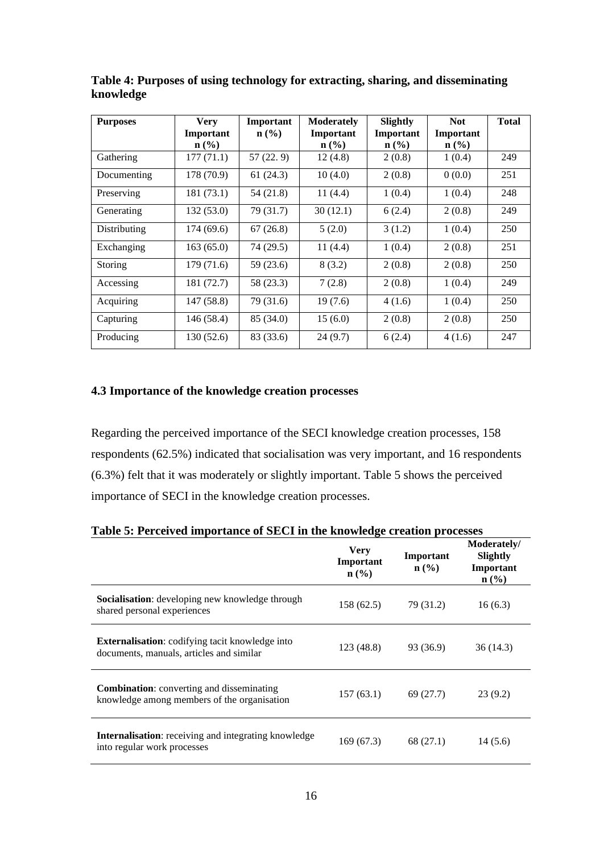| <b>Purposes</b> | <b>Very</b>                 | Important        | <b>Moderately</b> | Slightly                    | <b>Not</b> | <b>Total</b> |
|-----------------|-----------------------------|------------------|-------------------|-----------------------------|------------|--------------|
|                 | Important                   | $\mathbf{n}(\%)$ | Important         | Important                   | Important  |              |
|                 | $n\left(\frac{0}{0}\right)$ |                  | $\mathbf{n}(\%)$  | $n\left(\frac{0}{0}\right)$ | n (% )     |              |
| Gathering       | 177(71.1)                   | 57(22.9)         | 12(4.8)           | 2(0.8)                      | 1(0.4)     | 249          |
| Documenting     | 178 (70.9)                  | 61(24.3)         | 10(4.0)           | 2(0.8)                      | 0(0.0)     | 251          |
| Preserving      | 181 (73.1)                  | 54(21.8)         | 11(4.4)           | 1(0.4)                      | 1(0.4)     | 248          |
| Generating      | 132(53.0)                   | 79 (31.7)        | 30(12.1)          | 6(2.4)                      | 2(0.8)     | 249          |
| Distributing    | 174(69.6)                   | 67(26.8)         | 5(2.0)            | 3(1.2)                      | 1(0.4)     | 250          |
| Exchanging      | 163(65.0)                   | 74 (29.5)        | 11(4.4)           | 1(0.4)                      | 2(0.8)     | 251          |
| Storing         | 179 (71.6)                  | 59(23.6)         | 8(3.2)            | 2(0.8)                      | 2(0.8)     | 250          |
| Accessing       | 181 (72.7)                  | 58 (23.3)        | 7(2.8)            | 2(0.8)                      | 1(0.4)     | 249          |
| Acquiring       | 147 (58.8)                  | 79 (31.6)        | 19(7.6)           | 4(1.6)                      | 1(0.4)     | 250          |
| Capturing       | 146 (58.4)                  | 85 (34.0)        | 15(6.0)           | 2(0.8)                      | 2(0.8)     | 250          |
| Producing       | 130 (52.6)                  | 83 (33.6)        | 24(9.7)           | 6(2.4)                      | 4(1.6)     | 247          |

**Table 4: Purposes of using technology for extracting, sharing, and disseminating knowledge**

# **4.3 Importance of the knowledge creation processes**

Regarding the perceived importance of the SECI knowledge creation processes, 158 respondents (62.5%) indicated that socialisation was very important, and 16 respondents (6.3%) felt that it was moderately or slightly important. Table 5 shows the perceived importance of SECI in the knowledge creation processes.

| Table 5: Ferceived importance of SECT in the Knowledge creation processes                          |                                                         |                                          |                                                          |  |  |  |  |
|----------------------------------------------------------------------------------------------------|---------------------------------------------------------|------------------------------------------|----------------------------------------------------------|--|--|--|--|
|                                                                                                    | <b>Very</b><br>Important<br>$n\left(\frac{0}{0}\right)$ | Important<br>$n\left(\frac{9}{6}\right)$ | Moderately/<br>Slightly<br>Important<br>$\mathbf{n}(\%)$ |  |  |  |  |
| Socialisation: developing new knowledge through<br>shared personal experiences                     | 158(62.5)                                               | 79 (31.2)                                | 16(6.3)                                                  |  |  |  |  |
| <b>Externalisation:</b> codifying tacit knowledge into<br>documents, manuals, articles and similar | 123(48.8)                                               | 93 (36.9)                                | 36(14.3)                                                 |  |  |  |  |
| <b>Combination:</b> converting and disseminating<br>knowledge among members of the organisation    | 157(63.1)                                               | 69 (27.7)                                | 23(9.2)                                                  |  |  |  |  |
| <b>Internalisation:</b> receiving and integrating knowledge<br>into regular work processes         | 169(67.3)                                               | 68 (27.1)                                | 14(5.6)                                                  |  |  |  |  |

**Table 5: Perceived importance of SECI in the knowledge creation processes**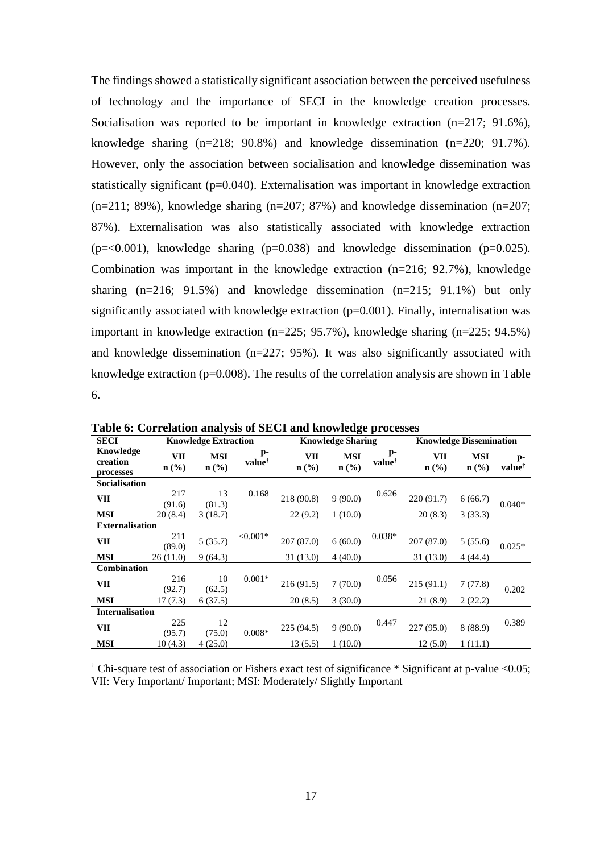The findings showed a statistically significant association between the perceived usefulness of technology and the importance of SECI in the knowledge creation processes. Socialisation was reported to be important in knowledge extraction (n=217; 91.6%), knowledge sharing (n=218; 90.8%) and knowledge dissemination (n=220; 91.7%). However, only the association between socialisation and knowledge dissemination was statistically significant ( $p=0.040$ ). Externalisation was important in knowledge extraction  $(n=211; 89\%)$ , knowledge sharing  $(n=207; 87\%)$  and knowledge dissemination  $(n=207;$ 87%). Externalisation was also statistically associated with knowledge extraction  $(p=<0.001)$ , knowledge sharing  $(p=0.038)$  and knowledge dissemination  $(p=0.025)$ . Combination was important in the knowledge extraction (n=216; 92.7%), knowledge sharing (n=216; 91.5%) and knowledge dissemination (n=215; 91.1%) but only significantly associated with knowledge extraction  $(p=0.001)$ . Finally, internalisation was important in knowledge extraction (n=225; 95.7%), knowledge sharing (n=225; 94.5%) and knowledge dissemination (n=227; 95%). It was also significantly associated with knowledge extraction (p=0.008). The results of the correlation analysis are shown in Table 6.

| <b>SECI</b>                        | <b>Knowledge Extraction</b>               |                                           |                          |                                    | o<br><b>Knowledge Sharing</b>             |                            |                                    | <b>Knowledge Dissemination</b> |                            |  |
|------------------------------------|-------------------------------------------|-------------------------------------------|--------------------------|------------------------------------|-------------------------------------------|----------------------------|------------------------------------|--------------------------------|----------------------------|--|
| Knowledge<br>creation<br>processes | <b>VII</b><br>$n\left(\frac{0}{0}\right)$ | <b>MSI</b><br>$n\left(\frac{0}{0}\right)$ | p-<br>value <sup>†</sup> | VII<br>$n\left(\frac{0}{0}\right)$ | <b>MSI</b><br>$n\left(\frac{0}{0}\right)$ | $p-$<br>value <sup>†</sup> | VII<br>$n\left(\frac{0}{0}\right)$ | <b>MSI</b><br>$\mathbf{n}(\%)$ | $p-$<br>value <sup>†</sup> |  |
| Socialisation                      |                                           |                                           |                          |                                    |                                           |                            |                                    |                                |                            |  |
| VII                                | 217<br>(91.6)                             | 13<br>(81.3)                              | 0.168                    | 218 (90.8)                         | 9(90.0)                                   | 0.626                      | 220(91.7)                          | 6(66.7)                        | $0.040*$                   |  |
| <b>MSI</b>                         | 20(8.4)                                   | 3(18.7)                                   |                          | 22(9.2)                            | 1(10.0)                                   |                            | 20(8.3)                            | 3(33.3)                        |                            |  |
| <b>Externalisation</b>             |                                           |                                           |                          |                                    |                                           |                            |                                    |                                |                            |  |
| VII                                | 211<br>(89.0)                             | 5(35.7)                                   | $< 0.001*$               | 207(87.0)                          | 6(60.0)                                   | $0.038*$                   | 207(87.0)                          | 5(55.6)                        | $0.025*$                   |  |
| <b>MSI</b>                         | 26(11.0)                                  | 9(64.3)                                   |                          | 31(13.0)                           | 4(40.0)                                   |                            | 31(13.0)                           | 4(44.4)                        |                            |  |
| <b>Combination</b>                 |                                           |                                           |                          |                                    |                                           |                            |                                    |                                |                            |  |
| VII                                | 216<br>(92.7)                             | 10<br>(62.5)                              | $0.001*$                 | 216(91.5)                          | 7(70.0)                                   | 0.056                      | 215(91.1)                          | 7(77.8)                        | 0.202                      |  |
| <b>MSI</b>                         | 17(7.3)                                   | 6(37.5)                                   |                          | 20(8.5)                            | 3(30.0)                                   |                            | 21(8.9)                            | 2(22.2)                        |                            |  |
| <b>Internalisation</b>             |                                           |                                           |                          |                                    |                                           |                            |                                    |                                |                            |  |
| VII                                | 225<br>(95.7)                             | 12<br>(75.0)                              | $0.008*$                 | 225(94.5)                          | 9(90.0)                                   | 0.447                      | 227(95.0)                          | 8(88.9)                        | 0.389                      |  |
| <b>MSI</b>                         | 10(4.3)                                   | 4(25.0)                                   |                          | 13(5.5)                            | 1(10.0)                                   |                            | 12(5.0)                            | 1(11.1)                        |                            |  |

**Table 6: Correlation analysis of SECI and knowledge processes**

† Chi-square test of association or Fishers exact test of significance \* Significant at p-value <0.05; VII: Very Important/ Important; MSI: Moderately/ Slightly Important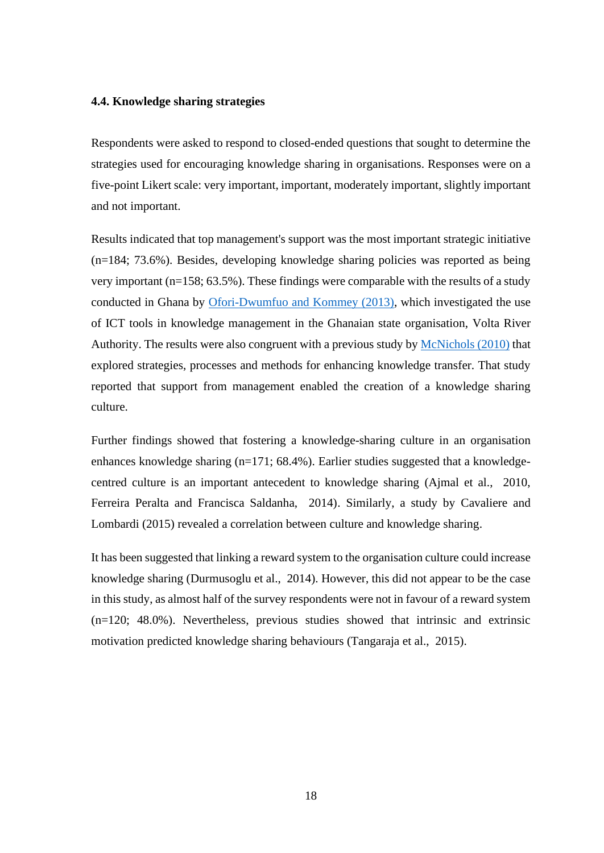#### **4.4. Knowledge sharing strategies**

Respondents were asked to respond to closed-ended questions that sought to determine the strategies used for encouraging knowledge sharing in organisations. Responses were on a five-point Likert scale: very important, important, moderately important, slightly important and not important.

Results indicated that top management's support was the most important strategic initiative (n=184; 73.6%). Besides, developing knowledge sharing policies was reported as being very important (n=158; 63.5%). These findings were comparable with the results of a study conducted in Ghana by Ofori-Dwumfuo and Kommey (2013), which investigated the use of ICT tools in knowledge management in the Ghanaian state organisation, Volta River Authority. The results were also congruent with a previous study by McNichols (2010) that explored strategies, processes and methods for enhancing knowledge transfer. That study reported that support from management enabled the creation of a knowledge sharing culture.

Further findings showed that fostering a knowledge-sharing culture in an organisation enhances knowledge sharing (n=171; 68.4%). Earlier studies suggested that a knowledgecentred culture is an important antecedent to knowledge sharing (Ajmal et al., 2010, Ferreira Peralta and Francisca Saldanha, 2014). Similarly, a study by Cavaliere and Lombardi (2015) revealed a correlation between culture and knowledge sharing.

It has been suggested that linking a reward system to the organisation culture could increase knowledge sharing (Durmusoglu et al., 2014). However, this did not appear to be the case in this study, as almost half of the survey respondents were not in favour of a reward system (n=120; 48.0%). Nevertheless, previous studies showed that intrinsic and extrinsic motivation predicted knowledge sharing behaviours (Tangaraja et al., 2015).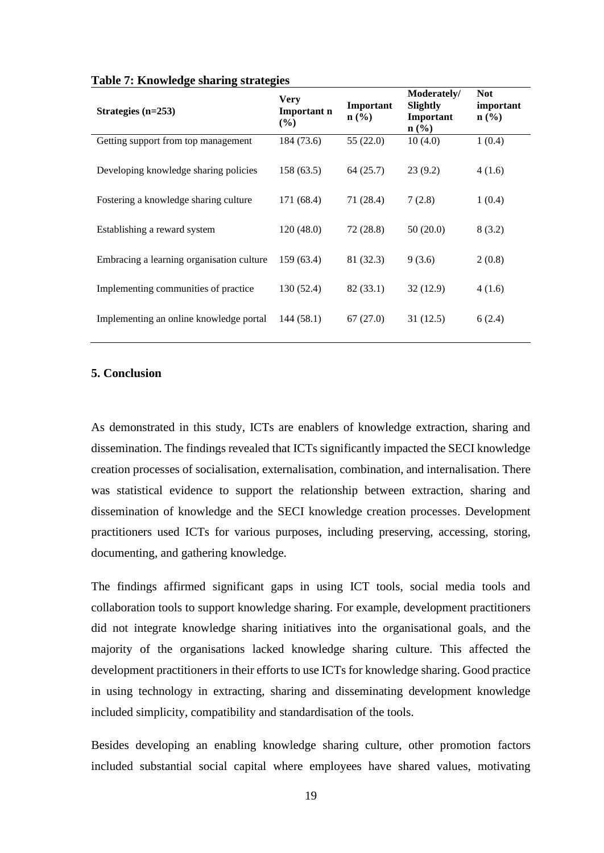| Strategies $(n=253)$                      | <b>Very</b><br>Important n<br>(%) | Important<br>$\mathbf{n}(\%)$ | Moderately/<br>Slightly<br>Important<br>$\mathbf{n}(\%)$ | <b>Not</b><br>important<br>$\mathbf{n}(\%)$ |
|-------------------------------------------|-----------------------------------|-------------------------------|----------------------------------------------------------|---------------------------------------------|
| Getting support from top management       | 184 (73.6)                        | 55(22.0)                      | 10(4.0)                                                  | 1(0.4)                                      |
| Developing knowledge sharing policies     | 158(63.5)                         | 64(25.7)                      | 23(9.2)                                                  | 4(1.6)                                      |
| Fostering a knowledge sharing culture     | 171 (68.4)                        | 71 (28.4)                     | 7(2.8)                                                   | 1(0.4)                                      |
| Establishing a reward system              | 120(48.0)                         | 72(28.8)                      | 50(20.0)                                                 | 8(3.2)                                      |
| Embracing a learning organisation culture | 159(63.4)                         | 81 (32.3)                     | 9(3.6)                                                   | 2(0.8)                                      |
| Implementing communities of practice      | 130 (52.4)                        | 82(33.1)                      | 32(12.9)                                                 | 4(1.6)                                      |
| Implementing an online knowledge portal   | 144 (58.1)                        | 67(27.0)                      | 31(12.5)                                                 | 6(2.4)                                      |

#### **Table 7: Knowledge sharing strategies**

# **5. Conclusion**

As demonstrated in this study, ICTs are enablers of knowledge extraction, sharing and dissemination. The findings revealed that ICTs significantly impacted the SECI knowledge creation processes of socialisation, externalisation, combination, and internalisation. There was statistical evidence to support the relationship between extraction, sharing and dissemination of knowledge and the SECI knowledge creation processes. Development practitioners used ICTs for various purposes, including preserving, accessing, storing, documenting, and gathering knowledge.

The findings affirmed significant gaps in using ICT tools, social media tools and collaboration tools to support knowledge sharing. For example, development practitioners did not integrate knowledge sharing initiatives into the organisational goals, and the majority of the organisations lacked knowledge sharing culture. This affected the development practitioners in their efforts to use ICTs for knowledge sharing. Good practice in using technology in extracting, sharing and disseminating development knowledge included simplicity, compatibility and standardisation of the tools.

Besides developing an enabling knowledge sharing culture, other promotion factors included substantial social capital where employees have shared values, motivating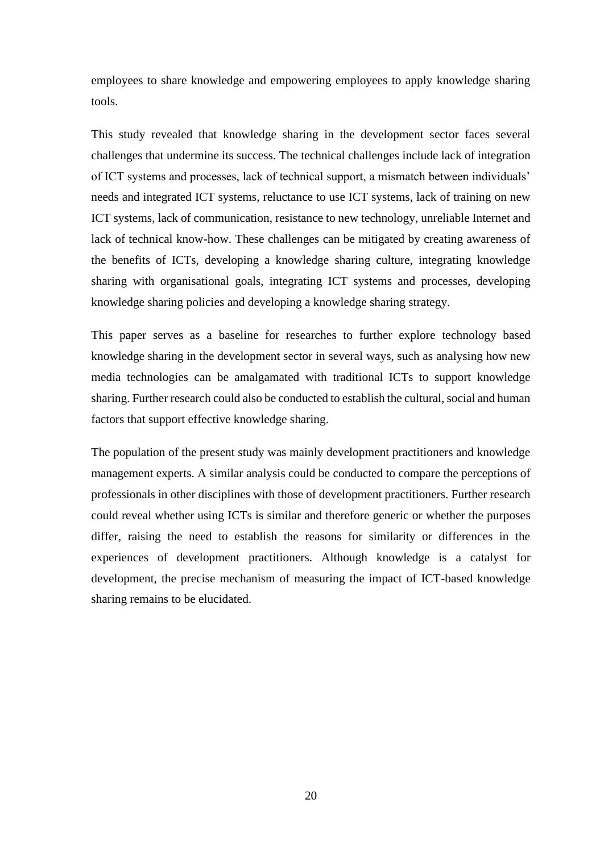employees to share knowledge and empowering employees to apply knowledge sharing tools.

This study revealed that knowledge sharing in the development sector faces several challenges that undermine its success. The technical challenges include lack of integration of ICT systems and processes, lack of technical support, a mismatch between individuals' needs and integrated ICT systems, reluctance to use ICT systems, lack of training on new ICT systems, lack of communication, resistance to new technology, unreliable Internet and lack of technical know-how. These challenges can be mitigated by creating awareness of the benefits of ICTs, developing a knowledge sharing culture, integrating knowledge sharing with organisational goals, integrating ICT systems and processes, developing knowledge sharing policies and developing a knowledge sharing strategy.

This paper serves as a baseline for researches to further explore technology based knowledge sharing in the development sector in several ways, such as analysing how new media technologies can be amalgamated with traditional ICTs to support knowledge sharing. Further research could also be conducted to establish the cultural, social and human factors that support effective knowledge sharing.

The population of the present study was mainly development practitioners and knowledge management experts. A similar analysis could be conducted to compare the perceptions of professionals in other disciplines with those of development practitioners. Further research could reveal whether using ICTs is similar and therefore generic or whether the purposes differ, raising the need to establish the reasons for similarity or differences in the experiences of development practitioners. Although knowledge is a catalyst for development, the precise mechanism of measuring the impact of ICT-based knowledge sharing remains to be elucidated.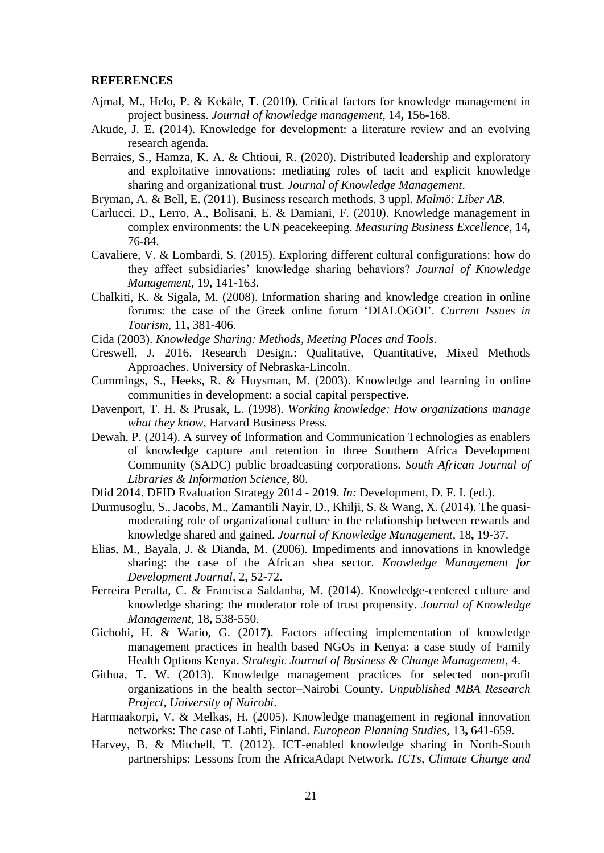#### **REFERENCES**

- Ajmal, M., Helo, P. & Kekäle, T. (2010). Critical factors for knowledge management in project business. *Journal of knowledge management,* 14**,** 156-168.
- Akude, J. E. (2014). Knowledge for development: a literature review and an evolving research agenda.
- Berraies, S., Hamza, K. A. & Chtioui, R. (2020). Distributed leadership and exploratory and exploitative innovations: mediating roles of tacit and explicit knowledge sharing and organizational trust. *Journal of Knowledge Management*.
- Bryman, A. & Bell, E. (2011). Business research methods. 3 uppl. *Malmö: Liber AB*.
- Carlucci, D., Lerro, A., Bolisani, E. & Damiani, F. (2010). Knowledge management in complex environments: the UN peacekeeping. *Measuring Business Excellence,* 14**,** 76-84.
- Cavaliere, V. & Lombardi, S. (2015). Exploring different cultural configurations: how do they affect subsidiaries' knowledge sharing behaviors? *Journal of Knowledge Management,* 19**,** 141-163.
- Chalkiti, K. & Sigala, M. (2008). Information sharing and knowledge creation in online forums: the case of the Greek online forum 'DIALOGOI'. *Current Issues in Tourism,* 11**,** 381-406.
- Cida (2003). *Knowledge Sharing: Methods, Meeting Places and Tools*.
- Creswell, J. 2016. Research Design.: Qualitative, Quantitative, Mixed Methods Approaches. University of Nebraska-Lincoln.
- Cummings, S., Heeks, R. & Huysman, M. (2003). Knowledge and learning in online communities in development: a social capital perspective.
- Davenport, T. H. & Prusak, L. (1998). *Working knowledge: How organizations manage what they know*, Harvard Business Press.
- Dewah, P. (2014). A survey of Information and Communication Technologies as enablers of knowledge capture and retention in three Southern Africa Development Community (SADC) public broadcasting corporations. *South African Journal of Libraries & Information Science,* 80.
- Dfid 2014. DFID Evaluation Strategy 2014 2019. *In:* Development, D. F. I. (ed.).
- Durmusoglu, S., Jacobs, M., Zamantili Nayir, D., Khilji, S. & Wang, X. (2014). The quasimoderating role of organizational culture in the relationship between rewards and knowledge shared and gained. *Journal of Knowledge Management,* 18**,** 19-37.
- Elias, M., Bayala, J. & Dianda, M. (2006). Impediments and innovations in knowledge sharing: the case of the African shea sector. *Knowledge Management for Development Journal,* 2**,** 52-72.
- Ferreira Peralta, C. & Francisca Saldanha, M. (2014). Knowledge-centered culture and knowledge sharing: the moderator role of trust propensity. *Journal of Knowledge Management,* 18**,** 538-550.
- Gichohi, H. & Wario, G. (2017). Factors affecting implementation of knowledge management practices in health based NGOs in Kenya: a case study of Family Health Options Kenya. *Strategic Journal of Business & Change Management,* 4.
- Githua, T. W. (2013). Knowledge management practices for selected non-profit organizations in the health sector–Nairobi County. *Unpublished MBA Research Project, University of Nairobi*.
- Harmaakorpi, V. & Melkas, H. (2005). Knowledge management in regional innovation networks: The case of Lahti, Finland. *European Planning Studies,* 13**,** 641-659.
- Harvey, B. & Mitchell, T. (2012). ICT-enabled knowledge sharing in North-South partnerships: Lessons from the AfricaAdapt Network. *ICTs, Climate Change and*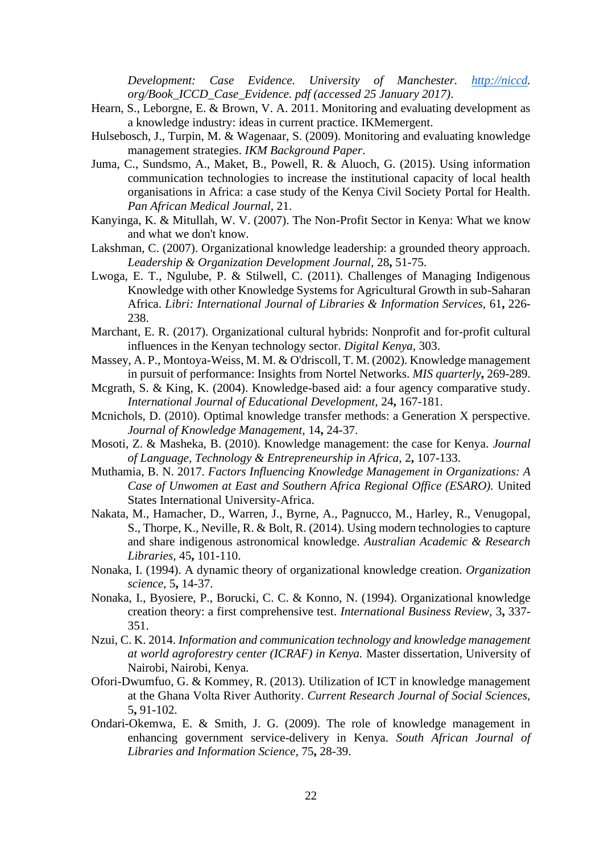*Development: Case Evidence. University of Manchester. [http://niccd.](http://niccd/) org/Book\_ICCD\_Case\_Evidence. pdf (accessed 25 January 2017)*.

- Hearn, S., Leborgne, E. & Brown, V. A. 2011. Monitoring and evaluating development as a knowledge industry: ideas in current practice. IKMemergent.
- Hulsebosch, J., Turpin, M. & Wagenaar, S. (2009). Monitoring and evaluating knowledge management strategies. *IKM Background Paper*.
- Juma, C., Sundsmo, A., Maket, B., Powell, R. & Aluoch, G. (2015). Using information communication technologies to increase the institutional capacity of local health organisations in Africa: a case study of the Kenya Civil Society Portal for Health. *Pan African Medical Journal,* 21.
- Kanyinga, K. & Mitullah, W. V. (2007). The Non-Profit Sector in Kenya: What we know and what we don't know.
- Lakshman, C. (2007). Organizational knowledge leadership: a grounded theory approach. *Leadership & Organization Development Journal,* 28**,** 51-75.
- Lwoga, E. T., Ngulube, P. & Stilwell, C. (2011). Challenges of Managing Indigenous Knowledge with other Knowledge Systems for Agricultural Growth in sub-Saharan Africa. *Libri: International Journal of Libraries & Information Services,* 61**,** 226- 238.
- Marchant, E. R. (2017). Organizational cultural hybrids: Nonprofit and for-profit cultural influences in the Kenyan technology sector. *Digital Kenya,* 303.
- Massey, A. P., Montoya-Weiss, M. M. & O'driscoll, T. M. (2002). Knowledge management in pursuit of performance: Insights from Nortel Networks. *MIS quarterly***,** 269-289.
- Mcgrath, S. & King, K. (2004). Knowledge-based aid: a four agency comparative study. *International Journal of Educational Development,* 24**,** 167-181.
- Mcnichols, D. (2010). Optimal knowledge transfer methods: a Generation X perspective. *Journal of Knowledge Management,* 14**,** 24-37.
- Mosoti, Z. & Masheka, B. (2010). Knowledge management: the case for Kenya. *Journal of Language, Technology & Entrepreneurship in Africa,* 2**,** 107-133.
- Muthamia, B. N. 2017. *Factors Influencing Knowledge Management in Organizations: A Case of Unwomen at East and Southern Africa Regional Office (ESARO).* United States International University-Africa.
- Nakata, M., Hamacher, D., Warren, J., Byrne, A., Pagnucco, M., Harley, R., Venugopal, S., Thorpe, K., Neville, R. & Bolt, R. (2014). Using modern technologies to capture and share indigenous astronomical knowledge. *Australian Academic & Research Libraries,* 45**,** 101-110.
- Nonaka, I. (1994). A dynamic theory of organizational knowledge creation. *Organization science,* 5**,** 14-37.
- Nonaka, I., Byosiere, P., Borucki, C. C. & Konno, N. (1994). Organizational knowledge creation theory: a first comprehensive test. *International Business Review,* 3**,** 337- 351.
- Nzui, C. K. 2014. *Information and communication technology and knowledge management at world agroforestry center (ICRAF) in Kenya.* Master dissertation, University of Nairobi, Nairobi, Kenya.
- Ofori-Dwumfuo, G. & Kommey, R. (2013). Utilization of ICT in knowledge management at the Ghana Volta River Authority. *Current Research Journal of Social Sciences,* 5**,** 91-102.
- Ondari-Okemwa, E. & Smith, J. G. (2009). The role of knowledge management in enhancing government service-delivery in Kenya. *South African Journal of Libraries and Information Science,* 75**,** 28-39.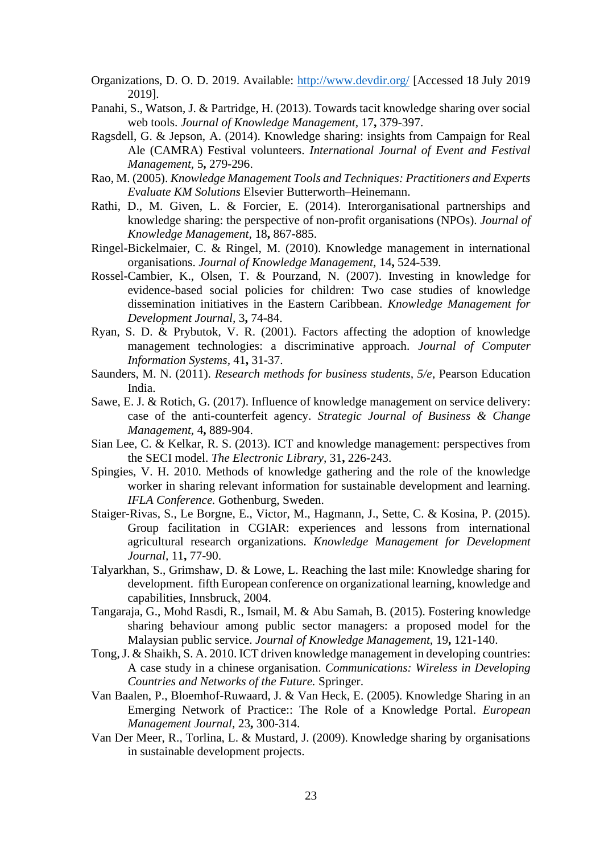- Organizations, D. O. D. 2019. Available:<http://www.devdir.org/> [Accessed 18 July 2019 2019].
- Panahi, S., Watson, J. & Partridge, H. (2013). Towards tacit knowledge sharing over social web tools. *Journal of Knowledge Management,* 17**,** 379-397.
- Ragsdell, G. & Jepson, A. (2014). Knowledge sharing: insights from Campaign for Real Ale (CAMRA) Festival volunteers. *International Journal of Event and Festival Management,* 5**,** 279-296.
- Rao, M. (2005). *Knowledge Management Tools and Techniques: Practitioners and Experts Evaluate KM Solutions* Elsevier Butterworth–Heinemann.
- Rathi, D., M. Given, L. & Forcier, E. (2014). Interorganisational partnerships and knowledge sharing: the perspective of non-profit organisations (NPOs). *Journal of Knowledge Management,* 18**,** 867-885.
- Ringel-Bickelmaier, C. & Ringel, M. (2010). Knowledge management in international organisations. *Journal of Knowledge Management,* 14**,** 524-539.
- Rossel-Cambier, K., Olsen, T. & Pourzand, N. (2007). Investing in knowledge for evidence-based social policies for children: Two case studies of knowledge dissemination initiatives in the Eastern Caribbean. *Knowledge Management for Development Journal,* 3**,** 74-84.
- Ryan, S. D. & Prybutok, V. R. (2001). Factors affecting the adoption of knowledge management technologies: a discriminative approach. *Journal of Computer Information Systems,* 41**,** 31-37.
- Saunders, M. N. (2011). *Research methods for business students, 5/e*, Pearson Education India.
- Sawe, E. J. & Rotich, G. (2017). Influence of knowledge management on service delivery: case of the anti-counterfeit agency. *Strategic Journal of Business & Change Management,* 4**,** 889-904.
- Sian Lee, C. & Kelkar, R. S. (2013). ICT and knowledge management: perspectives from the SECI model. *The Electronic Library,* 31**,** 226-243.
- Spingies, V. H. 2010. Methods of knowledge gathering and the role of the knowledge worker in sharing relevant information for sustainable development and learning. *IFLA Conference.* Gothenburg, Sweden.
- Staiger-Rivas, S., Le Borgne, E., Victor, M., Hagmann, J., Sette, C. & Kosina, P. (2015). Group facilitation in CGIAR: experiences and lessons from international agricultural research organizations. *Knowledge Management for Development Journal,* 11**,** 77-90.
- Talyarkhan, S., Grimshaw, D. & Lowe, L. Reaching the last mile: Knowledge sharing for development. fifth European conference on organizational learning, knowledge and capabilities, Innsbruck, 2004.
- Tangaraja, G., Mohd Rasdi, R., Ismail, M. & Abu Samah, B. (2015). Fostering knowledge sharing behaviour among public sector managers: a proposed model for the Malaysian public service. *Journal of Knowledge Management,* 19**,** 121-140.
- Tong, J. & Shaikh, S. A. 2010. ICT driven knowledge management in developing countries: A case study in a chinese organisation. *Communications: Wireless in Developing Countries and Networks of the Future.* Springer.
- Van Baalen, P., Bloemhof-Ruwaard, J. & Van Heck, E. (2005). Knowledge Sharing in an Emerging Network of Practice:: The Role of a Knowledge Portal. *European Management Journal,* 23**,** 300-314.
- Van Der Meer, R., Torlina, L. & Mustard, J. (2009). Knowledge sharing by organisations in sustainable development projects.